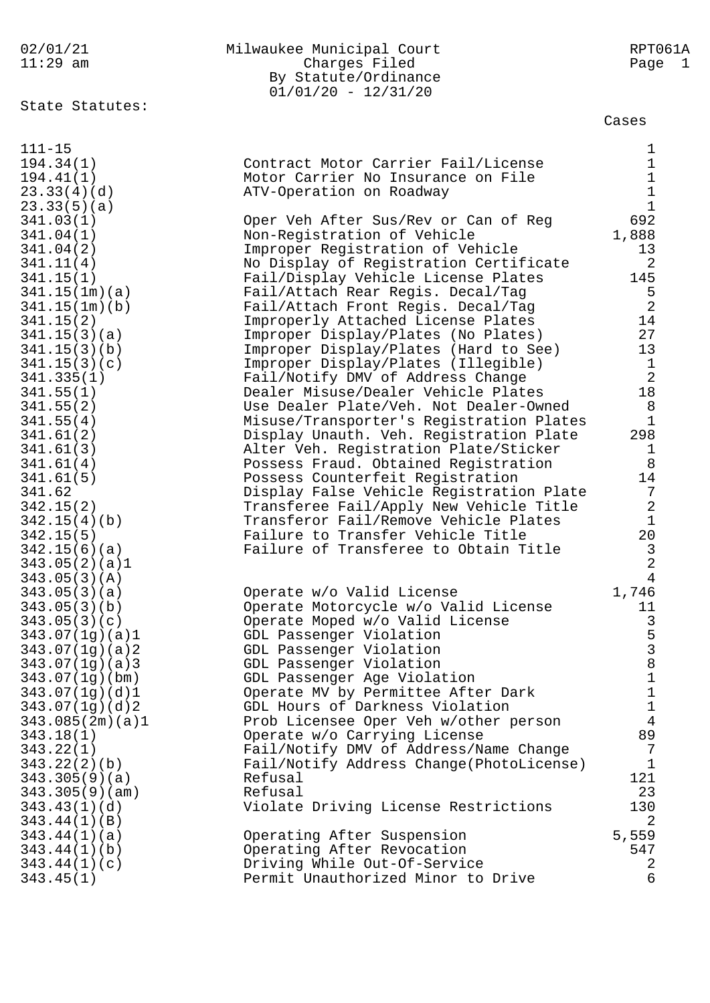| 02/01/21                      | Milwaukee Municipal Court                                                     | RPT061A              |
|-------------------------------|-------------------------------------------------------------------------------|----------------------|
| $11:29$ am                    | Charges Filed                                                                 | Page 1               |
|                               | By Statute/Ordinance                                                          |                      |
|                               | $01/01/20 - 12/31/20$                                                         |                      |
| State Statutes:               |                                                                               |                      |
|                               |                                                                               | Cases                |
|                               |                                                                               |                      |
| $111 - 15$                    |                                                                               | $\mathbf{1}$         |
| 194.34(1)                     | Contract Motor Carrier Fail/License                                           | $\mathbf 1$          |
| 194.41(1)                     | Motor Carrier No Insurance on File                                            | $\mathbf 1$          |
| 23.33(4)(d)                   | ATV-Operation on Roadway                                                      | $\mathbf 1$          |
| 23.33(5)(a)                   |                                                                               | $\mathbf{1}$         |
| 341.03(1)                     | Oper Veh After Sus/Rev or Can of Reg                                          | 692                  |
| 341.04(1)                     | Non-Registration of Vehicle                                                   | 1,888                |
| 341.04(2)                     | Improper Registration of Vehicle                                              | 13<br>2              |
| 341.11(4)<br>341.15(1)        | No Display of Registration Certificate<br>Fail/Display Vehicle License Plates | 145                  |
| 341.15(1m)(a)                 | Fail/Attach Rear Regis. Decal/Tag                                             | 5                    |
| 341.15(1m)(b)                 | Fail/Attach Front Regis. Decal/Tag                                            | $\overline{2}$       |
| 341.15(2)                     | Improperly Attached License Plates                                            | 14                   |
| 341.15(3)(a)                  | Improper Display/Plates (No Plates)                                           | 27                   |
| 341.15(3)(b)                  | Improper Display/Plates (Hard to See)                                         | 13                   |
| 341.15(3)(c)                  | Improper Display/Plates (Illegible)                                           | $\mathbf{1}$         |
| 341.335(1)                    | Fail/Notify DMV of Address Change                                             | $\sqrt{2}$           |
| 341.55(1)                     | Dealer Misuse/Dealer Vehicle Plates                                           | 18                   |
| 341.55(2)                     | Use Dealer Plate/Veh. Not Dealer-Owned                                        | $8\,$                |
| 341.55(4)                     | Misuse/Transporter's Registration Plates                                      | $\mathbf{1}$         |
| 341.61(2)                     | Display Unauth. Veh. Registration Plate                                       | 298                  |
| 341.61(3)                     | Alter Veh. Registration Plate/Sticker                                         | $\mathbf 1$          |
| 341.61(4)                     | Possess Fraud. Obtained Registration                                          | 8                    |
| 341.61(5)                     | Possess Counterfeit Registration                                              | 14                   |
| 341.62                        | Display False Vehicle Registration Plate                                      | 7                    |
| 342.15(2)                     | Transferee Fail/Apply New Vehicle Title                                       | 2                    |
| 342.15(4)(b)                  | Transferor Fail/Remove Vehicle Plates                                         | $\mathbf{1}$         |
| 342.15(5)                     | Failure to Transfer Vehicle Title                                             | 20                   |
| 342.15(6)(a)                  | Failure of Transferee to Obtain Title                                         | $\mathbf{3}$         |
| 343.05(2)(a)1                 |                                                                               | $\overline{2}$       |
| 343.05(3)(A)                  |                                                                               | $\overline{4}$       |
| 343.05(3)(a)                  | Operate w/o Valid License                                                     | 1,746                |
| 343.05(3)(b)                  | Operate Motorcycle w/o Valid License                                          | 11                   |
| 343.05(3)(c)                  | Operate Moped w/o Valid License                                               | 3                    |
| 343.07(1g)(a)1                | GDL Passenger Violation                                                       |                      |
| 343.07(1g)(a)2                | GDL Passenger Violation                                                       | 5<br>3<br>8          |
| 343.07(1g)(a)3                | GDL Passenger Violation                                                       |                      |
| 343.07(1g)(bm)                | GDL Passenger Age Violation                                                   | $\mathbf 1$          |
| 343.07(1g)(d)1                | Operate MV by Permittee After Dark                                            | $\mathbf 1$          |
| 343.07(1g)(d)2                | GDL Hours of Darkness Violation                                               | $\mathbf 1$          |
| 343.085(2m)(a)1               | Prob Licensee Oper Veh w/other person                                         | $\overline{4}$       |
| 343.18(1)                     | Operate w/o Carrying License                                                  | 89<br>$\overline{7}$ |
| 343.22(1)                     | Fail/Notify DMV of Address/Name Change                                        | $\mathbf 1$          |
| 343.22(2)(b)<br>343.305(9)(a) | Fail/Notify Address Change(PhotoLicense)<br>Refusal                           | 121                  |
| 343.305(9)(am)                | Refusal                                                                       | 23                   |
| 343.43(1)(d)                  | Violate Driving License Restrictions                                          | 130                  |
| 343.44(1)(B)                  |                                                                               | $\overline{a}$       |
| 343.44(1)(a)                  | Operating After Suspension                                                    | 5,559                |
| 343.44(1)(b)                  | Operating After Revocation                                                    | 547                  |
| 343.44(1)(c)                  | Driving While Out-Of-Service                                                  | 2                    |
| 343.45(1)                     | Permit Unauthorized Minor to Drive                                            | 6                    |
|                               |                                                                               |                      |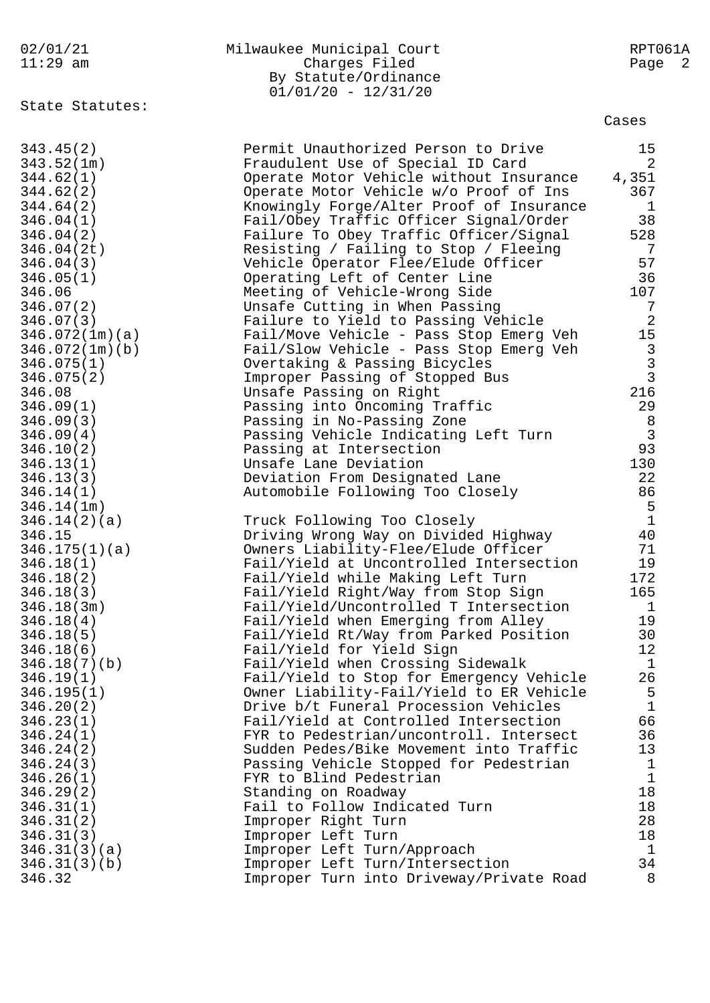|           |  |  | 02/01/21 |  |
|-----------|--|--|----------|--|
| 11 • つ 0. |  |  | $\sim$ m |  |

| 02/01/21   | Milwaukee Municipal Court | RPT061A |
|------------|---------------------------|---------|
| $11:29$ am | Charges Filed             | Page 2  |
|            | By Statute/Ordinance      |         |
|            | $01/01/20 - 12/31/20$     |         |

State Statutes:

| 343.45(2)      | Permit Unauthorized Person to Drive      | 15             |
|----------------|------------------------------------------|----------------|
| 343.52(1m)     | Fraudulent Use of Special ID Card        | 2              |
| 344.62(1)      | Operate Motor Vehicle without Insurance  | 4,351          |
| 344.62(2)      | Operate Motor Vehicle w/o Proof of Ins   | 367            |
| 344.64(2)      | Knowingly Forge/Alter Proof of Insurance | $\mathbf{1}$   |
|                |                                          |                |
| 346.04(1)      | Fail/Obey Traffic Officer Signal/Order   | 38             |
| 346.04(2)      | Failure To Obey Traffic Officer/Signal   | 528            |
| 346.04(2t)     | Resisting / Failing to Stop / Fleeing    | 7              |
| 346.04(3)      | Vehicle Operator Flee/Elude Officer      | 57             |
| 346.05(1)      | Operating Left of Center Line            | 36             |
| 346.06         | Meeting of Vehicle-Wrong Side            | 107            |
| 346.07(2)      | Unsafe Cutting in When Passing           | 7              |
| 346.07(3)      | Failure to Yield to Passing Vehicle      | $\overline{c}$ |
| 346.072(1m)(a) | Fail/Move Vehicle - Pass Stop Emerg Veh  | $15$           |
| 346.072(1m)(b) | Fail/Slow Vehicle - Pass Stop Emerg Veh  | $\mathbf{3}$   |
| 346.075(1)     | Overtaking & Passing Bicycles            |                |
| 346.075(2)     | Improper Passing of Stopped Bus          | $\frac{3}{3}$  |
| 346.08         | Unsafe Passing on Right                  | 216            |
| 346.09(1)      | Passing into Oncoming Traffic            | 29             |
| 346.09(3)      | Passing in No-Passing Zone               | 8              |
| 346.09(4)      |                                          | $\overline{3}$ |
|                | Passing Vehicle Indicating Left Turn     | 93             |
| 346.10(2)      | Passing at Intersection                  |                |
| 346.13(1)      | Unsafe Lane Deviation                    | 130            |
| 346.13(3)      | Deviation From Designated Lane           | 22             |
| 346.14(1)      | Automobile Following Too Closely         | 86             |
| 346.14(1m)     |                                          | 5              |
| 346.14(2)(a)   | Truck Following Too Closely              | $\mathbf{1}$   |
| 346.15         | Driving Wrong Way on Divided Highway     | 40             |
| 346.175(1)(a)  | Owners Liability-Flee/Elude Officer      | 71             |
| 346.18(1)      | Fail/Yield at Uncontrolled Intersection  | 19             |
| 346.18(2)      | Fail/Yield while Making Left Turn        | 172            |
| 346.18(3)      | Fail/Yield Right/Way from Stop Sign      | 165            |
| 346.18(3m)     | Fail/Yield/Uncontrolled T Intersection   | $\mathbf{1}$   |
| 346.18(4)      | Fail/Yield when Emerging from Alley      | 19             |
| 346.18(5)      | Fail/Yield Rt/Way from Parked Position   | 30             |
| 346.18(6)      | Fail/Yield for Yield Sign                | 12             |
| 346.18(7)(b)   | Fail/Yield when Crossing Sidewalk        | $\mathbf{1}$   |
| 346.19(1)      | Fail/Yield to Stop for Emergency Vehicle | 26             |
| 346.195(1)     | Owner Liability-Fail/Yield to ER Vehicle | 5              |
| 346.20(2)      | Drive b/t Funeral Procession Vehicles    | $\mathbf{1}$   |
| 346.23(1)      | Fail/Yield at Controlled Intersection    | 66             |
| 346.24(1)      | FYR to Pedestrian/uncontroll. Intersect  | 36             |
| 346.24(2)      | Sudden Pedes/Bike Movement into Traffic  | 13             |
|                |                                          | $\mathbf 1$    |
| 346.24(3)      | Passing Vehicle Stopped for Pedestrian   |                |
| 346.26(1)      | FYR to Blind Pedestrian                  | $\mathbf{1}$   |
| 346.29(2)      | Standing on Roadway                      | 18             |
| 346.31(1)      | Fail to Follow Indicated Turn            | 18             |
| 346.31(2)      | Improper Right Turn                      | 28             |
| 346.31(3)      | Improper Left Turn                       | 18             |
| 346.31(3)(a)   | Improper Left Turn/Approach              | $\mathbf 1$    |
| 346.31(3)(b)   | Improper Left Turn/Intersection          | 34             |
| 346.32         | Improper Turn into Driveway/Private Road | 8              |
|                |                                          |                |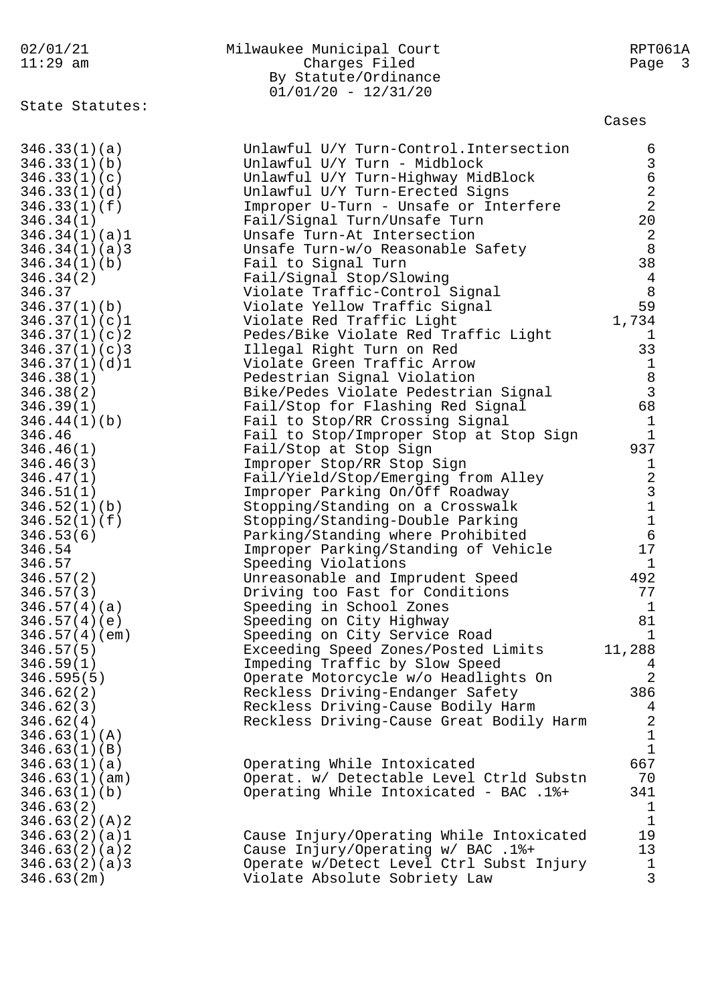| 02/01/21<br>$11:29$ am                                                                                                                                                                                                                                                                                                                                                                                                                                                                                 | Milwaukee Municipal Court<br>Charges Filed<br>By Statute/Ordinance<br>$01/01/20 - 12/31/20$                                                                                                                                                                                                                                                                                                                                                                                                                                                                                                                                                                                                                                                                                                                                                                                                                                                                                                                                                                                                                                                                                                 | RPT061A<br>Page<br>$\overline{\mathbf{3}}$                                                                                                                                                                                                                                                                             |
|--------------------------------------------------------------------------------------------------------------------------------------------------------------------------------------------------------------------------------------------------------------------------------------------------------------------------------------------------------------------------------------------------------------------------------------------------------------------------------------------------------|---------------------------------------------------------------------------------------------------------------------------------------------------------------------------------------------------------------------------------------------------------------------------------------------------------------------------------------------------------------------------------------------------------------------------------------------------------------------------------------------------------------------------------------------------------------------------------------------------------------------------------------------------------------------------------------------------------------------------------------------------------------------------------------------------------------------------------------------------------------------------------------------------------------------------------------------------------------------------------------------------------------------------------------------------------------------------------------------------------------------------------------------------------------------------------------------|------------------------------------------------------------------------------------------------------------------------------------------------------------------------------------------------------------------------------------------------------------------------------------------------------------------------|
| State Statutes:                                                                                                                                                                                                                                                                                                                                                                                                                                                                                        |                                                                                                                                                                                                                                                                                                                                                                                                                                                                                                                                                                                                                                                                                                                                                                                                                                                                                                                                                                                                                                                                                                                                                                                             | Cases                                                                                                                                                                                                                                                                                                                  |
| 346.33(1)(a)<br>346.33(1)(b)<br>346.33(1)(c)<br>346.33(1)(d)<br>346.33(1)(f)<br>346.34(1)<br>346.34(1)(a)1<br>346.34(1)(a)3<br>346.34(1)(b)<br>346.34(2)<br>346.37<br>346.37(1)(b)<br>346.37(1)(c)1<br>346.37(1)(c)2<br>346.37(1)(c)3<br>346.37(1)(d)1<br>346.38(1)<br>346.38(2)<br>346.39(1)<br>346.44(1)(b)<br>346.46<br>346.46(1)<br>346.46(3)<br>346.47(1)<br>346.51(1)<br>346.52(1)(b)<br>346.52(1)(f)<br>346.53(6)<br>346.54<br>346.57<br>346.57(2)<br>346.57(3)<br>346.57(4)(a)<br>346.57(4)(e) | Unlawful U/Y Turn-Control. Intersection<br>Unlawful U/Y Turn - Midblock<br>Unlawful U/Y Turn-Highway MidBlock<br>Unlawful U/Y Turn-Erected Signs<br>Improper U-Turn - Unsafe or Interfere<br>Fail/Signal Turn/Unsafe Turn<br>Unsafe Turn-At Intersection<br>Unsafe Turn-w/o Reasonable Safety<br>Fail to Signal Turn<br>Fail/Signal Stop/Slowing<br>Violate Traffic-Control Signal<br>Violate Yellow Traffic Signal<br>Violate Red Traffic Light<br>Pedes/Bike Violate Red Traffic Light<br>Illegal Right Turn on Red<br>Violate Green Traffic Arrow<br>Pedestrian Signal Violation<br>Bike/Pedes Violate Pedestrian Signal<br>Fail/Stop for Flashing Red Signal<br>Fail to Stop/RR Crossing Signal<br>Fail to Stop/Improper Stop at Stop Sign<br>Fail/Stop at Stop Sign<br>Improper Stop/RR Stop Sign<br>Fail/Yield/Stop/Emerging from Alley<br>Improper Parking On/Off Roadway<br>Stopping/Standing on a Crosswalk<br>Stopping/Standing-Double Parking<br>Parking/Standing where Prohibited<br>Improper Parking/Standing of Vehicle<br>Speeding Violations<br>Unreasonable and Imprudent Speed<br>Driving too Fast for Conditions<br>Speeding in School Zones<br>Speeding on City Highway | 63622<br>20<br>$\overline{2}$<br>8<br>38<br>$\overline{4}$<br>8<br>59<br>1,734<br>1<br>33<br>$1\,$<br>$\begin{array}{c}\n 8 \\  3 \\  68\n \end{array}$<br>$\mathbf 1$<br>$\mathbf{1}$<br>937<br>$\mathbf 1$<br>$\begin{array}{c}\n23 \\ 31 \\ 6\n\end{array}$<br>17<br>$\mathbf 1$<br>492<br>77<br>$\mathbf{1}$<br>81 |
| 346.57(4)(em)<br>346.57(5)<br>346.59(1)<br>346.595(5)<br>346.62(2)<br>346.62(3)<br>346.62(4)<br>346.63(1)(A)                                                                                                                                                                                                                                                                                                                                                                                           | Speeding on City Service Road<br>Exceeding Speed Zones/Posted Limits<br>Impeding Traffic by Slow Speed<br>Operate Motorcycle w/o Headlights On<br>Reckless Driving-Endanger Safety<br>Reckless Driving-Cause Bodily Harm<br>Reckless Driving-Cause Great Bodily Harm                                                                                                                                                                                                                                                                                                                                                                                                                                                                                                                                                                                                                                                                                                                                                                                                                                                                                                                        | $\mathbf{1}$<br>11,288<br>4<br>$\overline{2}$<br>386<br>4<br>$\overline{2}$<br>$\mathbf{1}$                                                                                                                                                                                                                            |
| 346.63(1)(B)<br>346.63(1)(a)<br>346.63(1)(am)<br>346.63(1)(b)<br>346.63(2)<br>346.63(2)(A)2<br>346.63(2)(a)1<br>346.63(2)(a)2<br>346.63(2)(a)3<br>346.63(2m)                                                                                                                                                                                                                                                                                                                                           | Operating While Intoxicated<br>Operat. w/ Detectable Level Ctrld Substn<br>Operating While Intoxicated - BAC .1%+<br>Cause Injury/Operating While Intoxicated<br>Cause Injury/Operating w/ BAC .1%+<br>Operate w/Detect Level Ctrl Subst Injury<br>Violate Absolute Sobriety Law                                                                                                                                                                                                                                                                                                                                                                                                                                                                                                                                                                                                                                                                                                                                                                                                                                                                                                            | $\mathbf{1}$<br>667<br>70<br>341<br>$\mathbf 1$<br>$1\,$<br>19<br>13<br>$1\,$<br>3                                                                                                                                                                                                                                     |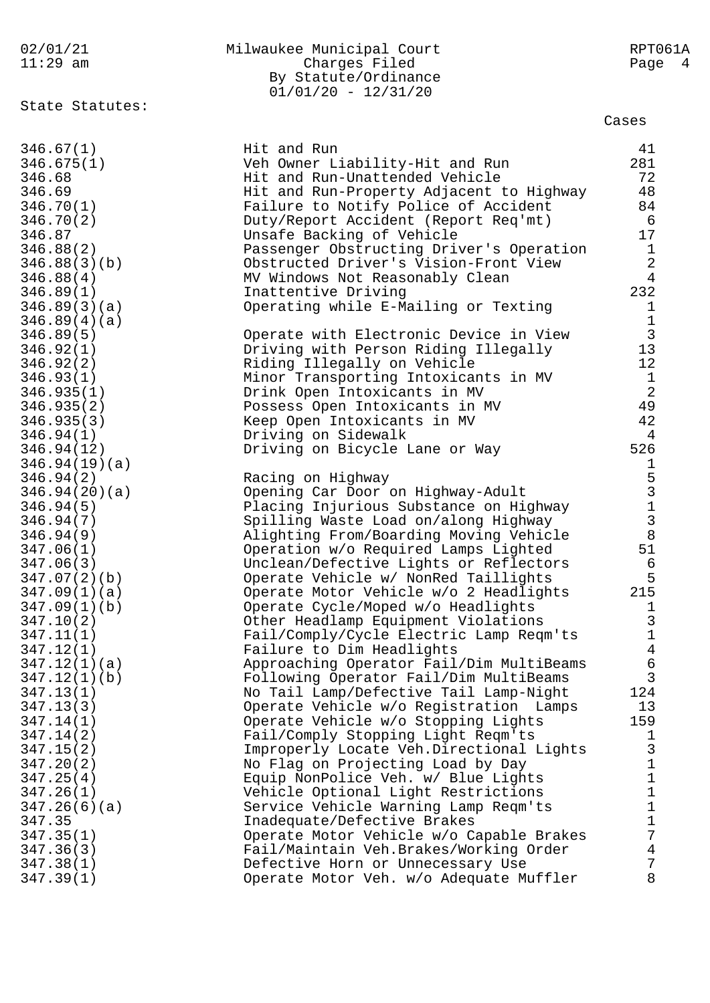| 02/01/21                   | Milwaukee Municipal Court                                                   | RPT061A                                    |
|----------------------------|-----------------------------------------------------------------------------|--------------------------------------------|
| $11:29$ am                 | Charges Filed<br>By Statute/Ordinance                                       | Page 4                                     |
|                            | $01/01/20 - 12/31/20$                                                       |                                            |
| State Statutes:            |                                                                             |                                            |
|                            |                                                                             | Cases                                      |
| 346.67(1)                  | Hit and Run                                                                 | 41                                         |
| 346.675(1)                 | Veh Owner Liability-Hit and Run                                             | 281                                        |
| 346.68                     | Hit and Run-Unattended Vehicle                                              | 72                                         |
| 346.69                     | Hit and Run-Property Adjacent to Highway                                    | 48                                         |
| 346.70(1)                  | Failure to Notify Police of Accident                                        | 84                                         |
| 346.70(2)                  | Duty/Report Accident (Report Req'mt)                                        | - 6                                        |
| 346.87                     | Unsafe Backing of Vehicle                                                   | 17                                         |
| 346.88(2)                  | Passenger Obstructing Driver's Operation                                    | $\mathbf{1}$                               |
| 346.88(3)(b)               | Obstructed Driver's Vision-Front View                                       | $\overline{2}$<br>$\overline{4}$           |
| 346.88(4)<br>346.89(1)     | MV Windows Not Reasonably Clean<br>Inattentive Driving                      | 232                                        |
| 346.89(3)(a)               | Operating while E-Mailing or Texting                                        | $\mathbf 1$                                |
| 346.89(4)(a)               |                                                                             | $1\,$                                      |
| 346.89(5)                  | Operate with Electronic Device in View                                      | $\overline{3}$                             |
| 346.92(1)                  | Driving with Person Riding Illegally                                        | 13                                         |
| 346.92(2)                  | Riding Illegally on Vehicle                                                 | 12                                         |
| 346.93(1)                  | Minor Transporting Intoxicants in MV                                        | $\frac{1}{2}$                              |
| 346.935(1)                 | Drink Open Intoxicants in MV                                                |                                            |
| 346.935(2)                 | Possess Open Intoxicants in MV                                              | 49                                         |
| 346.935(3)                 | Keep Open Intoxicants in MV                                                 | 42                                         |
| 346.94(1)                  | Driving on Sidewalk                                                         | 4                                          |
| 346.94(12)                 | Driving on Bicycle Lane or Way                                              | 526                                        |
| 346.94(19)(a)<br>346.94(2) | Racing on Highway                                                           | 1                                          |
| 346.94(20)(a)              | Opening Car Door on Highway-Adult                                           | $\begin{array}{c} 5 \\ 3 \\ 1 \end{array}$ |
| 346.94(5)                  | Placing Injurious Substance on Highway                                      |                                            |
| 346.94(7)                  | Spilling Waste Load on/along Highway                                        | $\mathbf{3}$                               |
| 346.94(9)                  | Alighting From/Boarding Moving Vehicle                                      | $\,8\,$                                    |
| 347.06(1)                  | Operation w/o Required Lamps Lighted                                        | 51                                         |
| 347.06(3)                  | Unclean/Defective Lights or Reflectors                                      | 6                                          |
| 347.07(2)(b)               | Operate Vehicle w/ NonRed Taillights                                        | 5                                          |
| 347.09(1)(a)               | Operate Motor Vehicle w/o 2 Headlights                                      | 215                                        |
| 347.09(1)(b)               | Operate Cycle/Moped w/o Headlights                                          | $\mathbf{1}$                               |
| 347.10(2)                  | Other Headlamp Equipment Violations                                         | $\begin{array}{c} 3 \\ 1 \end{array}$      |
| 347.11(1)<br>347.12(1)     | Fail/Comply/Cycle Electric Lamp Reqm'ts<br>Failure to Dim Headlights        | $\overline{4}$                             |
| 347.12(1)(a)               | Approaching Operator Fail/Dim MultiBeams                                    | $\epsilon$                                 |
| 347.12(1)(b)               | Following Operator Fail/Dim MultiBeams                                      | $\overline{3}$                             |
| 347.13(1)                  | No Tail Lamp/Defective Tail Lamp-Night                                      | 124                                        |
| 347.13(3)                  | Operate Vehicle w/o Registration Lamps                                      | 13                                         |
| 347.14(1)                  | Operate Vehicle w/o Stopping Lights                                         | 159                                        |
| 347.14(2)                  | Fail/Comply Stopping Light Reqm'ts                                          | 1                                          |
| 347.15(2)                  | Improperly Locate Veh.Directional Lights                                    | $\mathsf 3$                                |
| 347.20(2)                  | No Flag on Projecting Load by Day                                           | $\mathbf 1$                                |
| 347.25(4)                  | Equip NonPolice Veh. w/ Blue Lights                                         | $\mathbf 1$                                |
| 347.26(1)                  | Vehicle Optional Light Restrictions<br>Service Vehicle Warning Lamp Reqm'ts | $\mathbf 1$<br>$\mathbf 1$                 |
| 347.26(6)(a)<br>347.35     | Inadequate/Defective Brakes                                                 | $\mathbf 1$                                |
| 347.35(1)                  | Operate Motor Vehicle w/o Capable Brakes                                    | 7                                          |
| 347.36(3)                  | Fail/Maintain Veh.Brakes/Working Order                                      | $\overline{4}$                             |
| 347.38(1)                  | Defective Horn or Unnecessary Use                                           | 7                                          |
| 347.39(1)                  | Operate Motor Veh. w/o Adequate Muffler                                     | 8                                          |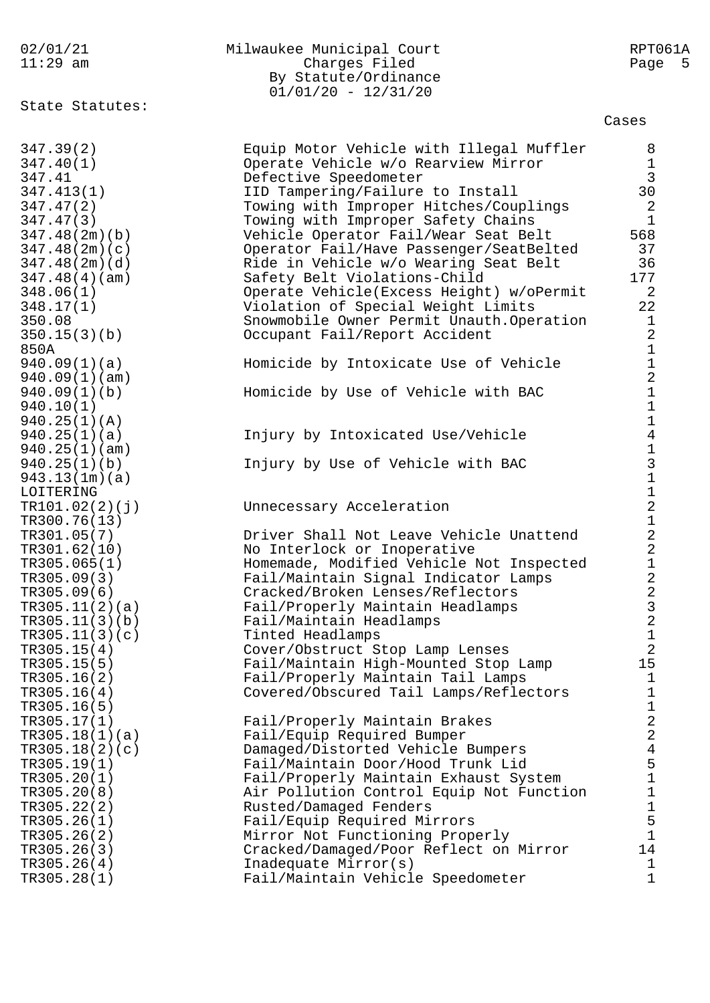| 02/01/21 | Milwaukee Municipal Court | RPT061A |
|----------|---------------------------|---------|
| 11:29 am | Charges Filed             | Page 5  |
|          | By Statute/Ordinance      |         |
|          | $01/01/20 - 12/31/20$     |         |

State Statutes:

Cases

| 347.39(2)      | Equip Motor Vehicle with Illegal Muffler  | 8                                            |
|----------------|-------------------------------------------|----------------------------------------------|
| 347.40(1)      | Operate Vehicle w/o Rearview Mirror       | $\frac{1}{3}$                                |
| 347.41         | Defective Speedometer                     |                                              |
| 347.413(1)     | IID Tampering/Failure to Install          | 30                                           |
| 347.47(2)      | Towing with Improper Hitches/Couplings    | $\overline{2}$                               |
| 347.47(3)      | Towing with Improper Safety Chains        | $\mathbf{1}$                                 |
| 347.48(2m)(b)  | Vehicle Operator Fail/Wear Seat Belt      | 568                                          |
| 347.48(2m)(c)  | Operator Fail/Have Passenger/SeatBelted   | 37                                           |
| 347.48(2m)(d)  | Ride in Vehicle w/o Wearing Seat Belt     | 36                                           |
| 347.48(4)(am)  | Safety Belt Violations-Child              | 177                                          |
| 348.06(1)      | Operate Vehicle (Excess Height) w/oPermit | 2                                            |
| 348.17(1)      | Violation of Special Weight Limits        | 22                                           |
| 350.08         | Snowmobile Owner Permit Unauth. Operation | $\mathbf 1$                                  |
| 350.15(3)(b)   | Occupant Fail/Report Accident             | $\overline{a}$                               |
| 850A           |                                           |                                              |
| 940.09(1)(a)   | Homicide by Intoxicate Use of Vehicle     |                                              |
| 940.09(1)(am)  |                                           |                                              |
| 940.09(1)(b)   | Homicide by Use of Vehicle with BAC       |                                              |
| 940.10(1)      |                                           |                                              |
| 940.25(1)(A)   |                                           |                                              |
| 940.25(1)(a)   | Injury by Intoxicated Use/Vehicle         |                                              |
| 940.25(1)(am)  |                                           |                                              |
| 940.25(1)(b)   | Injury by Use of Vehicle with BAC         |                                              |
| 943.13(1m)(a)  |                                           |                                              |
| LOITERING      |                                           |                                              |
| TR101.02(2)(j) | Unnecessary Acceleration                  | 1121114131121221223212                       |
| TR300.76(13)   |                                           |                                              |
| TR301.05(7)    | Driver Shall Not Leave Vehicle Unattend   |                                              |
| TR301.62(10)   | No Interlock or Inoperative               |                                              |
| TR305.065(1)   | Homemade, Modified Vehicle Not Inspected  |                                              |
| TR305.09(3)    | Fail/Maintain Signal Indicator Lamps      |                                              |
| TR305.09(6)    | Cracked/Broken Lenses/Reflectors          |                                              |
| TR305.11(2)(a) | Fail/Properly Maintain Headlamps          |                                              |
| TR305.11(3)(b) | Fail/Maintain Headlamps                   |                                              |
| TR305.11(3)(c) | Tinted Headlamps                          |                                              |
| TR305.15(4)    | Cover/Obstruct Stop Lamp Lenses           |                                              |
| TR305.15(5)    | Fail/Maintain High-Mounted Stop Lamp      | 15                                           |
| TR305.16(2)    | Fail/Properly Maintain Tail Lamps         | $\mathbf 1$                                  |
| TR305.16(4)    | Covered/Obscured Tail Lamps/Reflectors    | $\mathbf 1$                                  |
| TR305.16(5)    |                                           |                                              |
| TR305.17(1)    | Fail/Properly Maintain Brakes             | 122451                                       |
| TR305.18(1)(a) | Fail/Equip Required Bumper                |                                              |
| TR305.18(2)(c) | Damaged/Distorted Vehicle Bumpers         |                                              |
| TR305.19(1)    | Fail/Maintain Door/Hood Trunk Lid         |                                              |
| TR305.20(1)    | Fail/Properly Maintain Exhaust System     |                                              |
| TR305.20(8)    | Air Pollution Control Equip Not Function  | $\begin{array}{c}\n1 \\ 1 \\ 5\n\end{array}$ |
| TR305.22(2)    | Rusted/Damaged Fenders                    |                                              |
| TR305.26(1)    | Fail/Equip Required Mirrors               |                                              |
| TR305.26(2)    | Mirror Not Functioning Properly           | $1\,$                                        |
| TR305.26(3)    | Cracked/Damaged/Poor Reflect on Mirror    | 14                                           |
| TR305.26(4)    | Inadequate Mirror(s)                      | $\mathbf 1$                                  |
| TR305.28(1)    | Fail/Maintain Vehicle Speedometer         | $\mathbf{1}$                                 |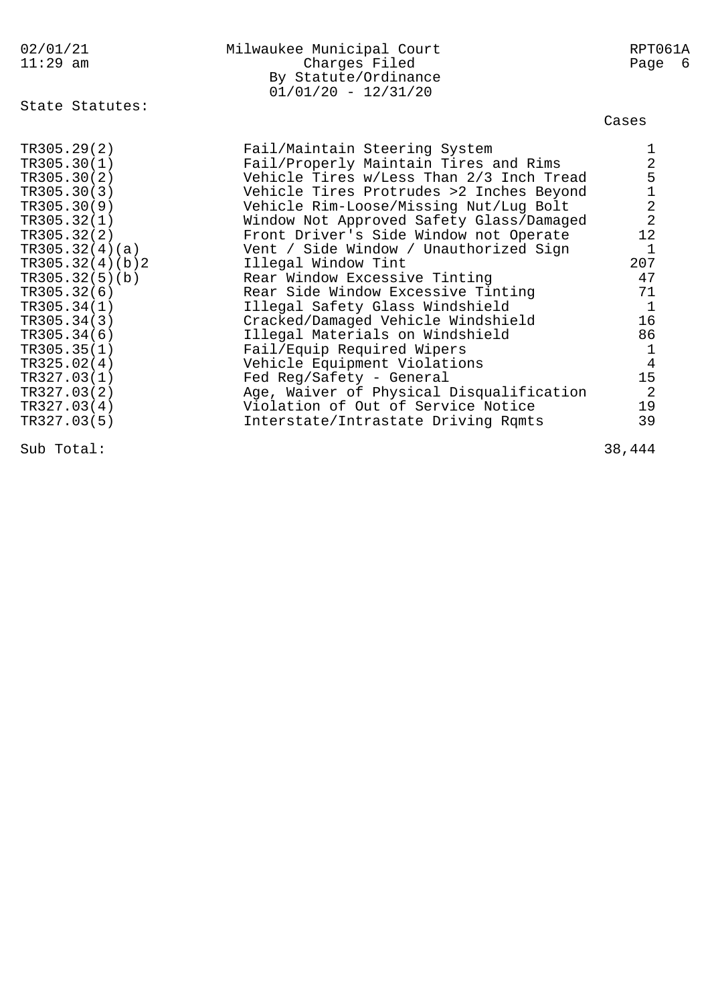| 02/01/21<br>$11:29$ am                                                                                                                                                                                                                                                                              | Milwaukee Municipal Court<br>Charges Filed<br>By Statute/Ordinance<br>$01/01/20 - 12/31/20$                                                                                                                                                                                                                                                                                                                                                                                                                                                                                                                                                                                                                                    | RPT061A<br>Page 6                                                                                                            |
|-----------------------------------------------------------------------------------------------------------------------------------------------------------------------------------------------------------------------------------------------------------------------------------------------------|--------------------------------------------------------------------------------------------------------------------------------------------------------------------------------------------------------------------------------------------------------------------------------------------------------------------------------------------------------------------------------------------------------------------------------------------------------------------------------------------------------------------------------------------------------------------------------------------------------------------------------------------------------------------------------------------------------------------------------|------------------------------------------------------------------------------------------------------------------------------|
| State Statutes:                                                                                                                                                                                                                                                                                     |                                                                                                                                                                                                                                                                                                                                                                                                                                                                                                                                                                                                                                                                                                                                | Cases                                                                                                                        |
| TR305.29(2)<br>TR305.30(1)<br>TR305.30(2)<br>TR305.30(3)<br>TR305.30(9)<br>TR305.32(1)<br>TR305.32(2)<br>TR305.32(4)(a)<br>TR305.32(4)(b)2<br>TR305.32(5)(b)<br>TR305.32(6)<br>TR305.34(1)<br>TR305.34(3)<br>TR305.34(6)<br>TR305.35(1)<br>TR325.02(4)<br>TR327.03(1)<br>TR327.03(2)<br>TR327.03(4) | Fail/Maintain Steering System<br>Fail/Properly Maintain Tires and Rims<br>Vehicle Tires w/Less Than 2/3 Inch Tread<br>Vehicle Tires Protrudes >2 Inches Beyond<br>Vehicle Rim-Loose/Missing Nut/Lug Bolt<br>Window Not Approved Safety Glass/Damaged<br>Front Driver's Side Window not Operate<br>Vent / Side Window / Unauthorized Sign<br>Illegal Window Tint<br>Rear Window Excessive Tinting<br>Rear Side Window Excessive Tinting<br>Illegal Safety Glass Windshield<br>Cracked/Damaged Vehicle Windshield<br>Illegal Materials on Windshield<br>Fail/Equip Required Wipers<br>Vehicle Equipment Violations<br>Fed Reg/Safety - General<br>Age, Waiver of Physical Disqualification<br>Violation of Out of Service Notice | 2512<br>12<br>$\mathbf{1}$<br>207<br>47<br>71<br>$\mathbf{1}$<br>16<br>86<br>$\mathbf{1}$<br>$\overline{4}$<br>15<br>2<br>19 |
| TR327.03(5)                                                                                                                                                                                                                                                                                         | Interstate/Intrastate Driving Rqmts                                                                                                                                                                                                                                                                                                                                                                                                                                                                                                                                                                                                                                                                                            | 39                                                                                                                           |

Sub Total: 38,444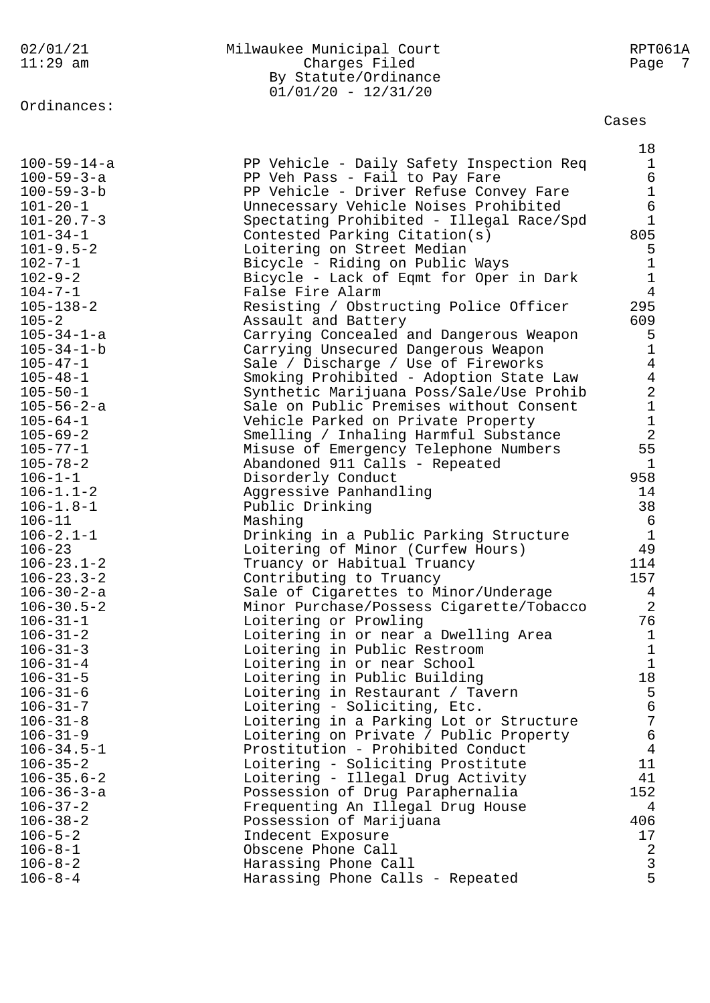|                                   | By Statute/Ordinance<br>$01/01/20 - 12/31/20$                           |                              |
|-----------------------------------|-------------------------------------------------------------------------|------------------------------|
| Ordinances:                       |                                                                         |                              |
|                                   |                                                                         | Cases                        |
|                                   |                                                                         | 18                           |
| $100 - 59 - 14 - a$               | PP Vehicle - Daily Safety Inspection Req                                | $\mathbf 1$                  |
| $100 - 59 - 3 - a$                | PP Veh Pass - Fail to Pay Fare                                          | 6                            |
| $100 - 59 - 3 - b$                | PP Vehicle - Driver Refuse Convey Fare                                  | $\mathbf 1$                  |
| $101 - 20 - 1$                    | Unnecessary Vehicle Noises Prohibited                                   | 6                            |
| $101 - 20.7 - 3$                  | Spectating Prohibited - Illegal Race/Spd                                | 1                            |
| $101 - 34 - 1$<br>$101 - 9.5 - 2$ | Contested Parking Citation(s)<br>Loitering on Street Median             | 805<br>5                     |
| $102 - 7 - 1$                     | Bicycle - Riding on Public Ways                                         | 1                            |
| $102 - 9 - 2$                     | Bicycle - Lack of Eqmt for Oper in Dark                                 | $\mathbf 1$                  |
| $104 - 7 - 1$                     | False Fire Alarm                                                        | $\overline{4}$               |
| $105 - 138 - 2$                   | Resisting / Obstructing Police Officer                                  | 295                          |
| $105 - 2$                         | Assault and Battery                                                     | 609                          |
| $105 - 34 - 1 - a$                | Carrying Concealed and Dangerous Weapon                                 | 5                            |
| $105 - 34 - 1 - b$                | Carrying Unsecured Dangerous Weapon                                     | 1                            |
| $105 - 47 - 1$                    | Sale / Discharge / Use of Fireworks                                     | 4                            |
| $105 - 48 - 1$                    | Smoking Prohibited - Adoption State Law                                 | 4                            |
| $105 - 50 - 1$                    | Synthetic Marijuana Poss/Sale/Use Prohib                                | $\overline{\mathbf{c}}$      |
| $105 - 56 - 2 - a$                | Sale on Public Premises without Consent                                 | $\mathbf{1}$                 |
| $105 - 64 - 1$                    | Vehicle Parked on Private Property                                      | $\mathbf 1$                  |
| $105 - 69 - 2$                    | Smelling / Inhaling Harmful Substance                                   | $\overline{a}$               |
| $105 - 77 - 1$<br>$105 - 78 - 2$  | Misuse of Emergency Telephone Numbers<br>Abandoned 911 Calls - Repeated | 55<br>$\mathbf{1}$           |
| $106 - 1 - 1$                     | Disorderly Conduct                                                      | 958                          |
| $106 - 1.1 - 2$                   | Aggressive Panhandling                                                  | 14                           |
| $106 - 1.8 - 1$                   | Public Drinking                                                         | 38                           |
| $106 - 11$                        | Mashing                                                                 | 6                            |
| $106 - 2.1 - 1$                   | Drinking in a Public Parking Structure                                  | $1\,$                        |
| $106 - 23$                        | Loitering of Minor (Curfew Hours)                                       | 49                           |
| $106 - 23.1 - 2$                  | Truancy or Habitual Truancy                                             | 114                          |
| $106 - 23.3 - 2$                  | Contributing to Truancy                                                 | 157                          |
| $106 - 30 - 2 - a$                | Sale of Cigarettes to Minor/Underage                                    | 4                            |
| $106 - 30.5 - 2$                  | Minor Purchase/Possess Cigarette/Tobacco                                | $\sqrt{2}$                   |
| $106 - 31 - 1$                    | Loitering or Prowling                                                   | 76                           |
| $106 - 31 - 2$<br>$106 - 31 - 3$  | Loitering in or near a Dwelling Area<br>Loitering in Public Restroom    | $\mathbf{1}$<br>$\mathbf{1}$ |
| $106 - 31 - 4$                    | Loitering in or near School                                             | $\mathbf{1}$                 |
| $106 - 31 - 5$                    | Loitering in Public Building                                            | 18                           |
| $106 - 31 - 6$                    | Loitering in Restaurant / Tavern                                        | 5                            |
| $106 - 31 - 7$                    | Loitering - Soliciting, Etc.                                            | $\epsilon$                   |
| $106 - 31 - 8$                    | Loitering in a Parking Lot or Structure                                 | $\sqrt{ }$                   |
| $106 - 31 - 9$                    | Loitering on Private / Public Property                                  | б                            |
| $106 - 34.5 - 1$                  | Prostitution - Prohibited Conduct                                       | $\overline{4}$               |
| $106 - 35 - 2$                    | Loitering - Soliciting Prostitute                                       | 11                           |
| $106 - 35.6 - 2$                  | Loitering - Illegal Drug Activity                                       | 41                           |
| $106 - 36 - 3 - a$                | Possession of Drug Paraphernalia                                        | 152                          |
| $106 - 37 - 2$                    | Frequenting An Illegal Drug House                                       | 4<br>406                     |
| $106 - 38 - 2$<br>$106 - 5 - 2$   | Possession of Marijuana<br>Indecent Exposure                            | 17                           |
| $106 - 8 - 1$                     | Obscene Phone Call                                                      | $\overline{a}$               |
| $106 - 8 - 2$                     | Harassing Phone Call                                                    | $\mathsf 3$                  |
| $106 - 8 - 4$                     | Harassing Phone Calls - Repeated                                        | 5                            |

106-8-4 Harassing Phone Calls - Repeated 5

# 02/01/21 Milwaukee Municipal Court RPT061A 11:29 am Charges Filed Page 7 By Statute/Ordinance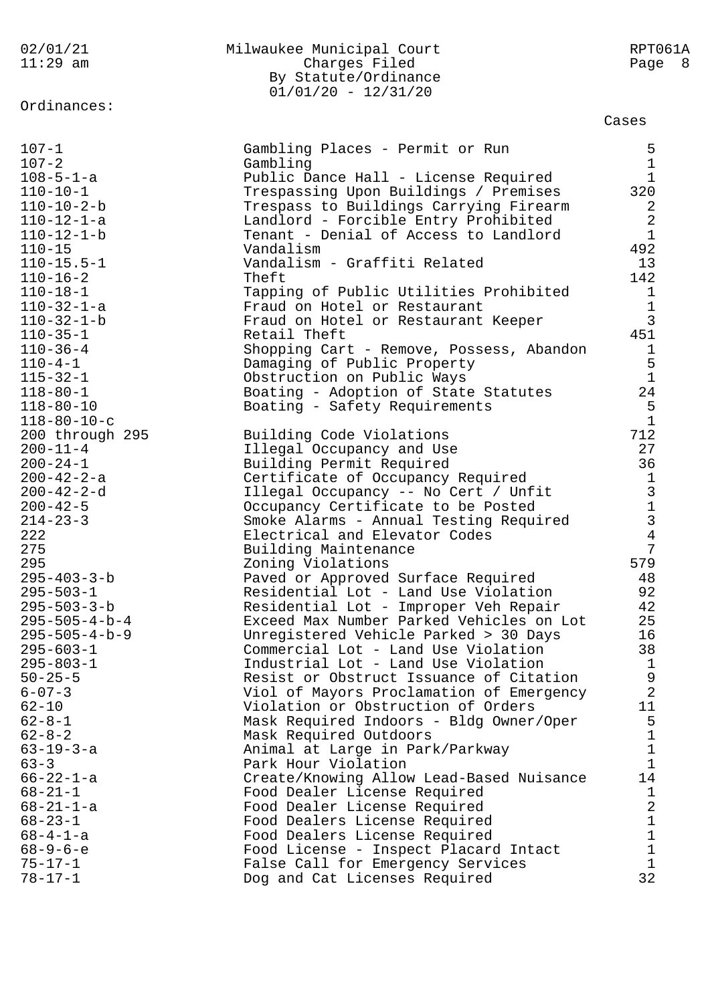| 02/01/21<br>$11:29$ am                                                                      | Milwaukee Municipal Court<br>Charges Filed<br>By Statute/Ordinance<br>$01/01/20 - 12/31/20$                                                                                   | RPT061A<br>Page 8                                                 |
|---------------------------------------------------------------------------------------------|-------------------------------------------------------------------------------------------------------------------------------------------------------------------------------|-------------------------------------------------------------------|
| Ordinances:                                                                                 |                                                                                                                                                                               | Cases                                                             |
| $107 - 1$                                                                                   | Gambling Places - Permit or Run                                                                                                                                               | 5                                                                 |
| $107 - 2$                                                                                   | Gambling                                                                                                                                                                      | $\mathbf{1}$                                                      |
| $108 - 5 - 1 - a$                                                                           | Public Dance Hall - License Required                                                                                                                                          | $\mathbf{1}$                                                      |
| $110 - 10 - 1$                                                                              | Trespassing Upon Buildings / Premises                                                                                                                                         | 320                                                               |
| $110 - 10 - 2 - b$                                                                          | Trespass to Buildings Carrying Firearm                                                                                                                                        | 2                                                                 |
| $110 - 12 - 1 - a$<br>$110 - 12 - 1 - b$<br>$110 - 15$                                      | Landlord - Forcible Entry Prohibited<br>Tenant - Denial of Access to Landlord<br>Vandalism<br>Vandalism - Graffiti Related                                                    | $\overline{a}$<br>$\mathbf{1}$<br>492                             |
| $110 - 15.5 - 1$<br>$110 - 16 - 2$<br>$110 - 18 - 1$<br>$110 - 32 - 1 - a$                  | Theft<br>Tapping of Public Utilities Prohibited<br>Fraud on Hotel or Restaurant                                                                                               | 13<br>142<br>$\mathbf 1$<br>$1\,$                                 |
| $110 - 32 - 1 - b$                                                                          | Fraud on Hotel or Restaurant Keeper                                                                                                                                           | $\overline{3}$                                                    |
| $110 - 35 - 1$                                                                              | Retail Theft                                                                                                                                                                  | 451                                                               |
| $110 - 36 - 4$                                                                              | Shopping Cart - Remove, Possess, Abandon                                                                                                                                      | 1                                                                 |
| $110 - 4 - 1$<br>$115 - 32 - 1$<br>$118 - 80 - 1$<br>$118 - 80 - 10$<br>$118 - 80 - 10 - c$ | Damaging of Public Property<br>Obstruction on Public Ways<br>Boating - Adoption of State Statutes<br>Boating - Safety Requirements                                            | 5<br>$\mathbf{1}$<br>24<br>5<br>$\mathbf{1}$                      |
| 200 through 295                                                                             | Building Code Violations                                                                                                                                                      | 712                                                               |
| $200 - 11 - 4$                                                                              | Illegal Occupancy and Use                                                                                                                                                     | 27                                                                |
| $200 - 24 - 1$                                                                              | Building Permit Required                                                                                                                                                      | 36                                                                |
| $200 - 42 - 2 - a$                                                                          | Certificate of Occupancy Required                                                                                                                                             | $\mathbf{1}$                                                      |
| $200 - 42 - 2 - d$<br>$200 - 42 - 5$<br>$214 - 23 - 3$<br>222<br>275                        | Illegal Occupancy -- No Cert / Unfit<br>Occupancy Certificate to be Posted<br>Smoke Alarms - Annual Testing Required<br>Electrical and Elevator Codes<br>Building Maintenance | $\begin{array}{c} 3 \\ 1 \\ 3 \end{array}$<br>$\overline{4}$<br>7 |
| 295                                                                                         | Zoning Violations                                                                                                                                                             | 579                                                               |
| $295 - 403 - 3 - b$                                                                         | Paved or Approved Surface Required                                                                                                                                            | 48                                                                |
| $295 - 503 - 1$                                                                             | Residential Lot - Land Use Violation                                                                                                                                          | 92                                                                |
| $295 - 503 - 3 - b$                                                                         | Residential Lot - Improper Veh Repair                                                                                                                                         | 42                                                                |
| $295 - 505 - 4 - b - 4$                                                                     | Exceed Max Number Parked Vehicles on Lot                                                                                                                                      | 25                                                                |
| $295 - 505 - 4 - b - 9$                                                                     | Unregistered Vehicle Parked > 30 Days                                                                                                                                         | 16                                                                |
| $295 - 603 - 1$                                                                             | Commercial Lot - Land Use Violation                                                                                                                                           | 38                                                                |
| $295 - 803 - 1$                                                                             | Industrial Lot - Land Use Violation                                                                                                                                           | $\mathbf{1}$                                                      |
| $50 - 25 - 5$                                                                               | Resist or Obstruct Issuance of Citation                                                                                                                                       | 9                                                                 |
| $6 - 07 - 3$                                                                                | Viol of Mayors Proclamation of Emergency                                                                                                                                      | $\overline{2}$                                                    |
| $62 - 10$                                                                                   | Violation or Obstruction of Orders                                                                                                                                            | 11                                                                |
| $62 - 8 - 1$                                                                                | Mask Required Indoors - Bldg Owner/Oper                                                                                                                                       | 5                                                                 |
| $62 - 8 - 2$                                                                                | Mask Required Outdoors                                                                                                                                                        | 1                                                                 |
| $63 - 19 - 3 - a$                                                                           | Animal at Large in Park/Parkway                                                                                                                                               | 1                                                                 |
| $63 - 3$                                                                                    | Park Hour Violation                                                                                                                                                           | $\mathbf 1$                                                       |
| $66 - 22 - 1 - a$                                                                           | Create/Knowing Allow Lead-Based Nuisance                                                                                                                                      | 14                                                                |
| $68 - 21 - 1$                                                                               | Food Dealer License Required                                                                                                                                                  | $\mathbf 1$                                                       |
| $68 - 21 - 1 - a$                                                                           | Food Dealer License Required                                                                                                                                                  | $\sqrt{2}$                                                        |
| $68 - 23 - 1$                                                                               | Food Dealers License Required                                                                                                                                                 | $\mathbf 1$                                                       |
| $68 - 4 - 1 - a$                                                                            | Food Dealers License Required                                                                                                                                                 | 1                                                                 |
| $68 - 9 - 6 - e$                                                                            | Food License - Inspect Placard Intact                                                                                                                                         | 1                                                                 |
| $75 - 17 - 1$                                                                               | False Call for Emergency Services                                                                                                                                             | 1                                                                 |
| $78 - 17 - 1$                                                                               | Dog and Cat Licenses Required                                                                                                                                                 | 32                                                                |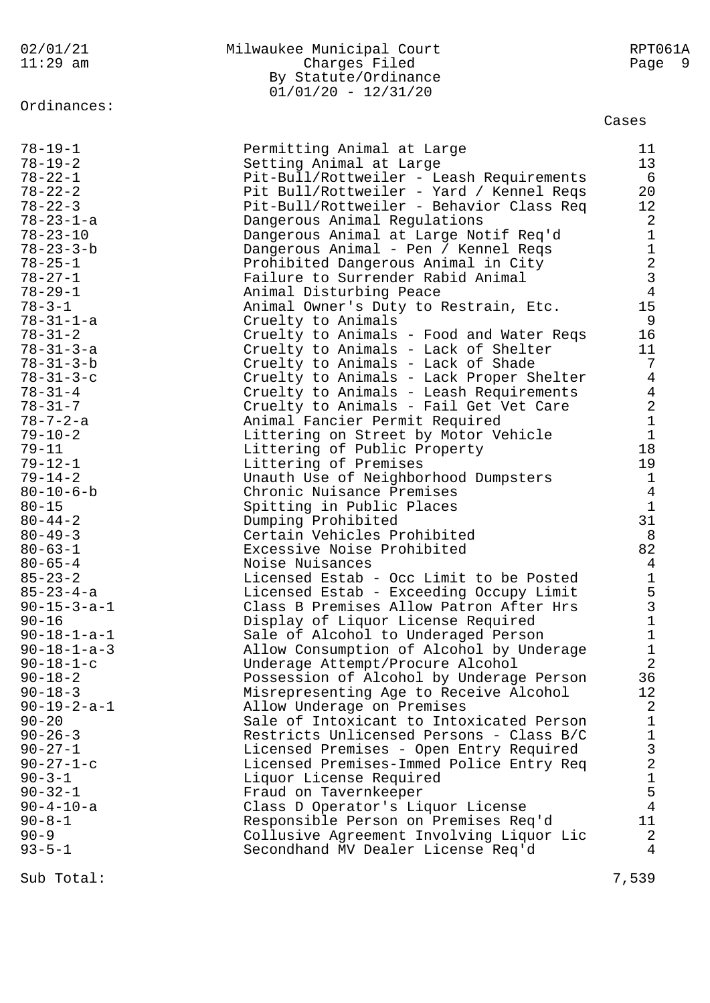## Ordinances:

### 02/01/21 Milwaukee Municipal Court RPT061A 11:29 am Charges Filed Page 9 By Statute/Ordinance  $01/01/20 - 12/31/20$

### Cases

| $78 - 19 - 1$                  | Permitting Animal at Large                                                           | 11                                                |
|--------------------------------|--------------------------------------------------------------------------------------|---------------------------------------------------|
| $78 - 19 - 2$                  |                                                                                      | 13                                                |
| $78 - 22 - 1$                  | Setting Animal at Large                                                              |                                                   |
|                                | Pit-Bull/Rottweiler - Leash Requirements<br>Pit Bull/Rottweiler - Yard / Kennel Reqs | 6<br>$20\,$                                       |
| $78 - 22 - 2$                  | Pit-Bull/Rottweiler - Behavior Class Req                                             |                                                   |
| $78 - 22 - 3$                  | Dangerous Animal Regulations                                                         | 12<br>$\overline{a}$                              |
| $78 - 23 - 1 - a$              |                                                                                      |                                                   |
| $78 - 23 - 10$                 | Dangerous Animal at Large Notif Req'd                                                | $\mathbf 1$                                       |
| $78 - 23 - 3 - b$              | Dangerous Animal - Pen / Kennel Reqs                                                 | $\mathbf{1}$                                      |
| $78 - 25 - 1$<br>$78 - 27 - 1$ | Prohibited Dangerous Animal in City<br>Failure to Surrender Rabid Animal             |                                                   |
|                                |                                                                                      | $\begin{array}{c} 2 \\ 3 \\ 4 \end{array}$        |
| $78 - 29 - 1$<br>$78 - 3 - 1$  | Animal Disturbing Peace                                                              | 15                                                |
| $78 - 31 - 1 - a$              | Animal Owner's Duty to Restrain, Etc.                                                | 9                                                 |
|                                | Cruelty to Animals                                                                   |                                                   |
| $78 - 31 - 2$                  | Cruelty to Animals - Food and Water Reqs                                             | 16                                                |
| $78 - 31 - 3 - a$              | Cruelty to Animals - Lack of Shelter                                                 | 11                                                |
| $78 - 31 - 3 - b$              | Cruelty to Animals - Lack of Shade                                                   | 7                                                 |
| $78 - 31 - 3 - c$              | Cruelty to Animals - Lack Proper Shelter                                             | $\overline{4}$                                    |
| $78 - 31 - 4$                  | Cruelty to Animals - Leash Requirements                                              | $\overline{4}$                                    |
| $78 - 31 - 7$                  | Cruelty to Animals - Fail Get Vet Care                                               | $\overline{a}$                                    |
| $78 - 7 - 2 - a$               | Animal Fancier Permit Required                                                       | $\mathbf 1$                                       |
| $79 - 10 - 2$                  | Littering on Street by Motor Vehicle                                                 | $\mathbf 1$                                       |
| $79 - 11$                      | Littering of Public Property                                                         | 18                                                |
| $79 - 12 - 1$                  | Littering of Premises                                                                | 19                                                |
| $79 - 14 - 2$                  | Unauth Use of Neighborhood Dumpsters                                                 | $\mathbf{1}$                                      |
| $80 - 10 - 6 - b$              | Chronic Nuisance Premises                                                            | $\overline{4}$                                    |
| $80 - 15$                      | Spitting in Public Places                                                            | $\mathbf{1}$                                      |
| $80 - 44 - 2$                  | Dumping Prohibited                                                                   | 31                                                |
| $80 - 49 - 3$                  | Certain Vehicles Prohibited                                                          | 8                                                 |
| $80 - 63 - 1$                  | Excessive Noise Prohibited                                                           | 82                                                |
| $80 - 65 - 4$                  | Noise Nuisances                                                                      | $\overline{4}$                                    |
| $85 - 23 - 2$                  | Licensed Estab - Occ Limit to be Posted                                              | $\begin{array}{c}\n1 \\ 5 \\ 3 \\ 1\n\end{array}$ |
| $85 - 23 - 4 - a$              | Licensed Estab - Exceeding Occupy Limit                                              |                                                   |
| $90 - 15 - 3 - a - 1$          | Class B Premises Allow Patron After Hrs                                              |                                                   |
| $90 - 16$                      | Display of Liquor License Required                                                   |                                                   |
| $90 - 18 - 1 - a - 1$          | Sale of Alcohol to Underaged Person                                                  | $1\,$                                             |
| $90 - 18 - 1 - a - 3$          | Allow Consumption of Alcohol by Underage                                             | $\mathbf 1$                                       |
| $90 - 18 - 1 - c$              | Underage Attempt/Procure Alcohol                                                     | $\overline{2}$                                    |
| $90 - 18 - 2$                  | Possession of Alcohol by Underage Person                                             | 36                                                |
| $90 - 18 - 3$                  | Misrepresenting Age to Receive Alcohol                                               | 12                                                |
| $90 - 19 - 2 - a - 1$          | Allow Underage on Premises                                                           | 2                                                 |
| $90 - 20$                      | Sale of Intoxicant to Intoxicated Person                                             | $\mathbf 1$                                       |
| $90 - 26 - 3$                  | Restricts Unlicensed Persons - Class B/C                                             | $\mathbf 1$                                       |
| $90 - 27 - 1$                  | Licensed Premises - Open Entry Required                                              |                                                   |
| $90 - 27 - 1 - c$              | Licensed Premises-Immed Police Entry Req                                             | $\begin{array}{c} 3 \\ 2 \\ 1 \end{array}$        |
| $90 - 3 - 1$                   | Liquor License Required                                                              |                                                   |
| $90 - 32 - 1$                  | Fraud on Tavernkeeper                                                                | $\mathsf S$                                       |
| $90 - 4 - 10 - a$              | Class D Operator's Liquor License                                                    | $\overline{4}$                                    |
| $90 - 8 - 1$                   | Responsible Person on Premises Req'd                                                 | 11                                                |
| $90 - 9$                       | Collusive Agreement Involving Liquor Lic                                             | 2                                                 |
| $93 - 5 - 1$                   | Secondhand MV Dealer License Req'd                                                   | $\overline{4}$                                    |
|                                |                                                                                      |                                                   |

Sub Total: 7,539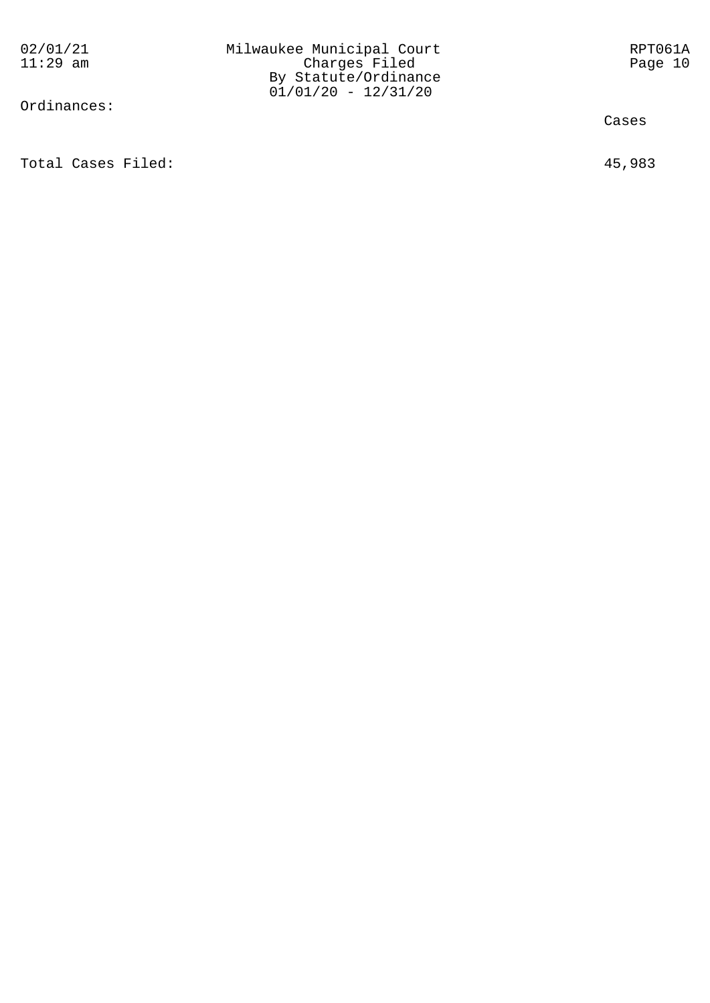Ordinances:

Total Cases Filed: 45,983

Cases